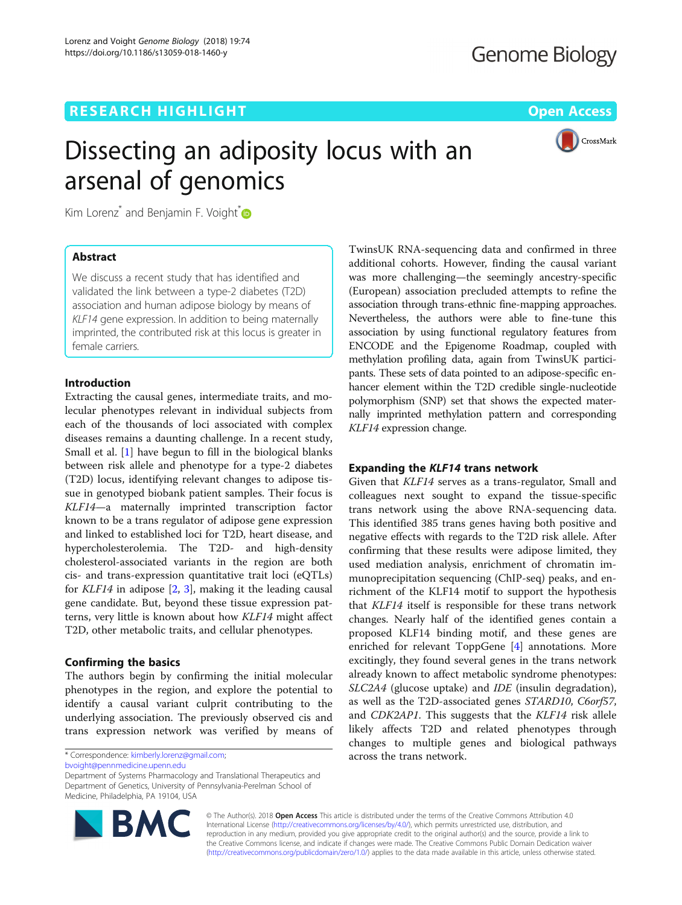# **RESEARCH HIGHLIGHT CONSUMING THE OPEN ACCESS**

CrossMark

# Dissecting an adiposity locus with an arsenal of genomics

Kim Lorenz<sup>\*</sup> and Benjamin F. Voight $\overline{O}$ 

# Abstract

We discuss a recent study that has identified and validated the link between a type-2 diabetes (T2D) association and human adipose biology by means of KLF14 gene expression. In addition to being maternally imprinted, the contributed risk at this locus is greater in female carriers.

# Introduction

Extracting the causal genes, intermediate traits, and molecular phenotypes relevant in individual subjects from each of the thousands of loci associated with complex diseases remains a daunting challenge. In a recent study, Small et al. [[1\]](#page-1-0) have begun to fill in the biological blanks between risk allele and phenotype for a type-2 diabetes (T2D) locus, identifying relevant changes to adipose tissue in genotyped biobank patient samples. Their focus is KLF14—a maternally imprinted transcription factor known to be a trans regulator of adipose gene expression and linked to established loci for T2D, heart disease, and hypercholesterolemia. The T2D- and high-density cholesterol-associated variants in the region are both cis- and trans-expression quantitative trait loci (eQTLs) for  $KLF14$  in adipose  $[2, 3]$  $[2, 3]$  $[2, 3]$ , making it the leading causal gene candidate. But, beyond these tissue expression patterns, very little is known about how KLF14 might affect T2D, other metabolic traits, and cellular phenotypes.

## Confirming the basics

The authors begin by confirming the initial molecular phenotypes in the region, and explore the potential to identify a causal variant culprit contributing to the underlying association. The previously observed cis and trans expression network was verified by means of

\* Correspondence: [kimberly.lorenz@gmail.com](mailto:kimberly.lorenz@gmail.com);

[bvoight@pennmedicine.upenn.edu](mailto:bvoight@pennmedicine.upenn.edu)

Department of Systems Pharmacology and Translational Therapeutics and Department of Genetics, University of Pennsylvania-Perelman School of Medicine, Philadelphia, PA 19104, USA

additional cohorts. However, finding the causal variant was more challenging—the seemingly ancestry-specific (European) association precluded attempts to refine the association through trans-ethnic fine-mapping approaches. Nevertheless, the authors were able to fine-tune this association by using functional regulatory features from ENCODE and the Epigenome Roadmap, coupled with methylation profiling data, again from TwinsUK participants. These sets of data pointed to an adipose-specific enhancer element within the T2D credible single-nucleotide polymorphism (SNP) set that shows the expected maternally imprinted methylation pattern and corresponding KLF14 expression change.

TwinsUK RNA-sequencing data and confirmed in three

# Expanding the KLF14 trans network

Given that KLF14 serves as a trans-regulator, Small and colleagues next sought to expand the tissue-specific trans network using the above RNA-sequencing data. This identified 385 trans genes having both positive and negative effects with regards to the T2D risk allele. After confirming that these results were adipose limited, they used mediation analysis, enrichment of chromatin immunoprecipitation sequencing (ChIP-seq) peaks, and enrichment of the KLF14 motif to support the hypothesis that KLF14 itself is responsible for these trans network changes. Nearly half of the identified genes contain a proposed KLF14 binding motif, and these genes are enriched for relevant ToppGene [\[4](#page-2-0)] annotations. More excitingly, they found several genes in the trans network already known to affect metabolic syndrome phenotypes: SLC2A4 (glucose uptake) and IDE (insulin degradation), as well as the T2D-associated genes STARD10, C6orf57, and CDK2AP1. This suggests that the KLF14 risk allele likely affects T2D and related phenotypes through changes to multiple genes and biological pathways across the trans network.



© The Author(s). 2018 Open Access This article is distributed under the terms of the Creative Commons Attribution 4.0 International License [\(http://creativecommons.org/licenses/by/4.0/](http://creativecommons.org/licenses/by/4.0/)), which permits unrestricted use, distribution, and reproduction in any medium, provided you give appropriate credit to the original author(s) and the source, provide a link to the Creative Commons license, and indicate if changes were made. The Creative Commons Public Domain Dedication waiver [\(http://creativecommons.org/publicdomain/zero/1.0/](http://creativecommons.org/publicdomain/zero/1.0/)) applies to the data made available in this article, unless otherwise stated.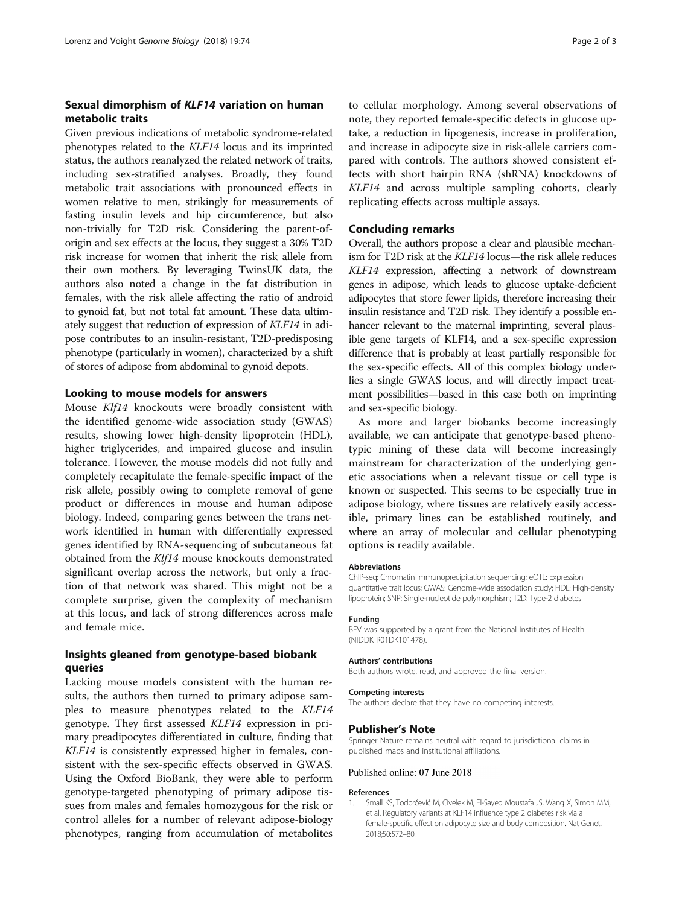# <span id="page-1-0"></span>Sexual dimorphism of KLF14 variation on human metabolic traits

Given previous indications of metabolic syndrome-related phenotypes related to the KLF14 locus and its imprinted status, the authors reanalyzed the related network of traits, including sex-stratified analyses. Broadly, they found metabolic trait associations with pronounced effects in women relative to men, strikingly for measurements of fasting insulin levels and hip circumference, but also non-trivially for T2D risk. Considering the parent-oforigin and sex effects at the locus, they suggest a 30% T2D risk increase for women that inherit the risk allele from their own mothers. By leveraging TwinsUK data, the authors also noted a change in the fat distribution in females, with the risk allele affecting the ratio of android to gynoid fat, but not total fat amount. These data ultimately suggest that reduction of expression of KLF14 in adipose contributes to an insulin-resistant, T2D-predisposing phenotype (particularly in women), characterized by a shift of stores of adipose from abdominal to gynoid depots.

## Looking to mouse models for answers

Mouse Klf14 knockouts were broadly consistent with the identified genome-wide association study (GWAS) results, showing lower high-density lipoprotein (HDL), higher triglycerides, and impaired glucose and insulin tolerance. However, the mouse models did not fully and completely recapitulate the female-specific impact of the risk allele, possibly owing to complete removal of gene product or differences in mouse and human adipose biology. Indeed, comparing genes between the trans network identified in human with differentially expressed genes identified by RNA-sequencing of subcutaneous fat obtained from the Klf14 mouse knockouts demonstrated significant overlap across the network, but only a fraction of that network was shared. This might not be a complete surprise, given the complexity of mechanism at this locus, and lack of strong differences across male and female mice.

# Insights gleaned from genotype-based biobank queries

Lacking mouse models consistent with the human results, the authors then turned to primary adipose samples to measure phenotypes related to the KLF14 genotype. They first assessed KLF14 expression in primary preadipocytes differentiated in culture, finding that KLF14 is consistently expressed higher in females, consistent with the sex-specific effects observed in GWAS. Using the Oxford BioBank, they were able to perform genotype-targeted phenotyping of primary adipose tissues from males and females homozygous for the risk or control alleles for a number of relevant adipose-biology phenotypes, ranging from accumulation of metabolites to cellular morphology. Among several observations of note, they reported female-specific defects in glucose uptake, a reduction in lipogenesis, increase in proliferation, and increase in adipocyte size in risk-allele carriers compared with controls. The authors showed consistent effects with short hairpin RNA (shRNA) knockdowns of KLF14 and across multiple sampling cohorts, clearly replicating effects across multiple assays.

## Concluding remarks

Overall, the authors propose a clear and plausible mechanism for T2D risk at the KLF14 locus—the risk allele reduces KLF14 expression, affecting a network of downstream genes in adipose, which leads to glucose uptake-deficient adipocytes that store fewer lipids, therefore increasing their insulin resistance and T2D risk. They identify a possible enhancer relevant to the maternal imprinting, several plausible gene targets of KLF14, and a sex-specific expression difference that is probably at least partially responsible for the sex-specific effects. All of this complex biology underlies a single GWAS locus, and will directly impact treatment possibilities—based in this case both on imprinting and sex-specific biology.

As more and larger biobanks become increasingly available, we can anticipate that genotype-based phenotypic mining of these data will become increasingly mainstream for characterization of the underlying genetic associations when a relevant tissue or cell type is known or suspected. This seems to be especially true in adipose biology, where tissues are relatively easily accessible, primary lines can be established routinely, and where an array of molecular and cellular phenotyping options is readily available.

#### Abbreviations

ChIP-seq: Chromatin immunoprecipitation sequencing; eQTL: Expression quantitative trait locus; GWAS: Genome-wide association study; HDL: High-density lipoprotein; SNP: Single-nucleotide polymorphism; T2D: Type-2 diabetes

#### Funding

BFV was supported by a grant from the National Institutes of Health (NIDDK R01DK101478).

#### Authors' contributions

Both authors wrote, read, and approved the final version.

#### Competing interests

The authors declare that they have no competing interests.

#### Publisher's Note

Springer Nature remains neutral with regard to jurisdictional claims in published maps and institutional affiliations.

#### Published online: 07 June 2018

#### References

1. Small KS, Todorčević M, Civelek M, El-Sayed Moustafa JS, Wang X, Simon MM, et al. Regulatory variants at KLF14 influence type 2 diabetes risk via a female-specific effect on adipocyte size and body composition. Nat Genet. 2018;50:572–80.